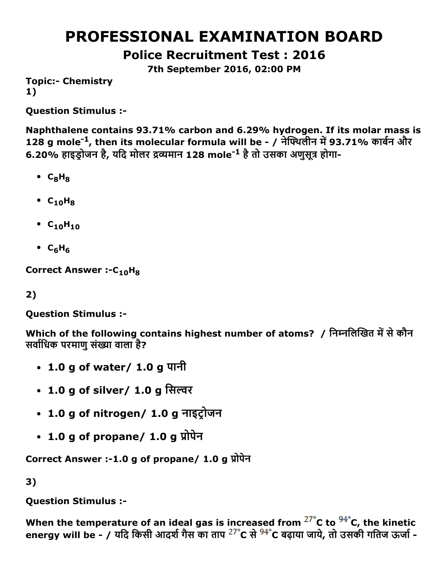# PROFESSIONAL EXAMINATION BOARD

Police Recruitment Test : 2016

7th September 2016, 02:00 PM

**Topic:- Chemistry** 1)

Question Stimulus :

Naphthalene contains 93.71% carbon and 6.29% hydrogen. If its molar mass is 128 g mole<sup>-1</sup>, then its molecular formula will be - / नेफ्थिलीन में 93.71% कार्बन और 6.20% हाइड्रोजन है, यदि मोलर द्रव्यमान 128 mole<sup>-1</sup> है तो उसका अणुसूत्र होगा-

- $\cdot$  C<sub>8</sub>H<sub>8</sub>
- $\cdot$  C<sub>10</sub>H<sub>8</sub>
- $C_{10}H_{10}$
- $\cdot$  C<sub>6</sub>H<sub>6</sub>

Correct Answer :- $C_{10}H_8$ 

2)

Question Stimulus :

Which of the following contains highest number of atoms? / निम्नलिखित में से कौन सर्वाधिक परमाणु संख्या वाला है?

- 1.0 g of water/ 1.0 g पानी
- 1.0 g of silver/ 1.0 g सिल्वर
- 1.0 g of nitrogen/ 1.0 g नाइट्रोजन
- $\cdot$  1.0 g of propane/ 1.0 g प्रोपेन

Correct Answer :-1.0 g of propane/ 1.0 g प्रोपेन

3)

Question Stimulus :

When the temperature of an ideal gas is increased from  $27^{\circ}$ C to  $94^{\circ}$ C, the kinetic energy will be - / यदि किसी आदर्श गैस का ताप <sup>27°</sup>C से <sup>94°</sup>C बढ़ाया जाये, तो उसकी गतिज ऊर्जा -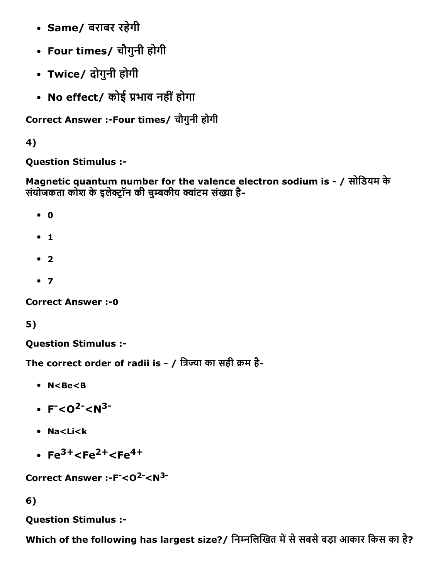- Same/ बराबर रहेगी
- Four times/ चौगुनी होगी
- Twice/ दोगुनी होगी
- No effect/ कोई प्रभाव नहीं होगा

Correct Answer :-Four times/ चौगुनी होगी

4)

Question Stimulus :

Magnetic quantum number for the valence electron sodium is / सोिडयम के संयोजकता कोश के इलेक्ट्रॉन की चुम्बकीय क्वांटम संख्या है-

- $\bullet$  0
- $1$
- $2$
- $7$

**Correct Answer :- 0** 

5)

Question Stimulus :

The correct order of radii is - / त्रिज्या का सही क्रम है-

- N<Be<B
- $F < 0^2 < N^3$
- Na<Li<k
- $Fe<sup>3+</sup> < Fe<sup>2+</sup> < Fe<sup>4+</sup>$

Correct Answer :-F<sup>-</sup><0<sup>2-</sup><N<sup>3-</sup>

6)

Question Stimulus :

Which of the following has largest size?/ निम्नलिखित में से सबसे बड़ा आकार किस का है?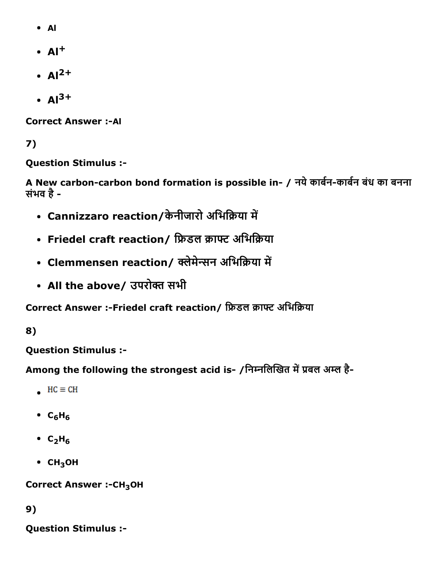- Al
- $\cdot$  Al<sup>+</sup>
- $\cdot$  Al<sup>2+</sup>
- $Al^{3+}$

**Correct Answer :- Al** 

# 7)

Question Stimulus :

A New carbon-carbon bond formation is possible in- / नये कार्बन-कार्बन बंध का बनना संभव है

- Cannizzaro reaction/केनीजारो अभिक्रिया में
- Friedel craft reaction/ फ्रिडल क्राफ्ट अभिक्रिया
- Clemmensen reaction/ क्लेमेन्सन अभिक्रिया में
- All the above/ उपरोक्त सभी

Correct Answer :-Friedel craft reaction/ फ्रिडल क्राफ्ट अभिक्रिया

### 8)

Question Stimulus :

Among the following the strongest acid is- /निम्नलिखित में प्रबल अम्ल है-

- $HC \equiv CH$
- $\cdot$  C<sub>6</sub>H<sub>6</sub>
- $\cdot$  C<sub>2</sub>H<sub>6</sub>
- $\cdot$  CH<sub>3</sub>OH

Correct Answer :- CH<sub>3</sub>OH

# 9)

Question Stimulus :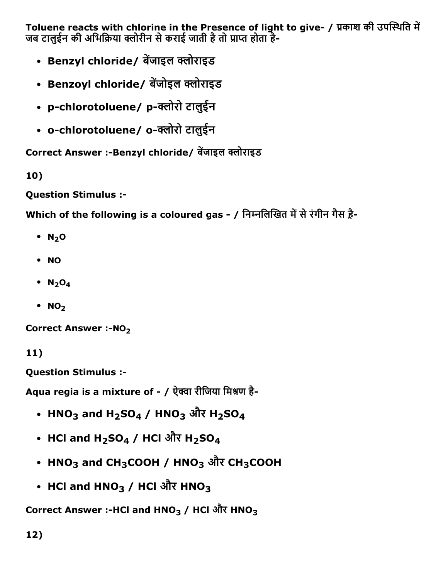Toluene reacts with chlorine in the Presence of light to give- / प्रकाश की उपस्थिति में जब टालुईन की अभिक्रिया क्लोरीन से कराई जाती है तो प्राप्त होता है-

- Benzyl chloride/ बेंजाइल क्लोराइड
- Benzoyl chloride/ बेंजोइल क्लोराइड
- p-chlorotoluene/ p-क्लोरो टालुईन
- o-chlorotoluene/ o-क्लोरो टालुईन

Correct Answer :-Benzyl chloride/ बेंजाइल क्लोराइड

10)

Question Stimulus :

Which of the following is a coloured gas - / निम्नलिखित में से रंगीन गैस ह़ै-

- $\cdot$  N<sub>2</sub>O
- NO
- $\bullet$  N<sub>2</sub>O<sub>4</sub>
- $\cdot$  NO<sub>2</sub>

Correct Answer :-NO<sub>2</sub>

11)

Question Stimulus :

Aqua regia is a mixture of - / ऐक्वा रीजिया मिश्रण है-

- HNO $_3$  and H $_2$ SO $_4$  / HNO $_3$  और H $_2$ SO $_4$
- HCl and H<sub>2</sub>SO<sub>4</sub> / HCl और H<sub>2</sub>SO<sub>4</sub>
- HNO<sub>3</sub> and CH<sub>3</sub>COOH / HNO<sub>3</sub> और CH<sub>3</sub>COOH
- HCl and HNO $_3$  / HCl और HNO $_3$

Correct Answer :-HCl and HNO<sub>3</sub> / HCl और HNO<sub>3</sub>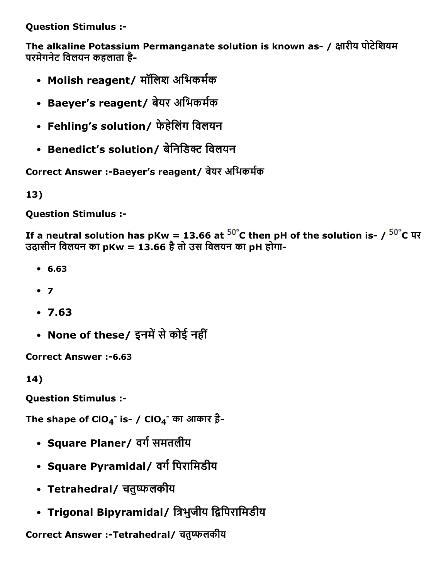Question Stimulus :

The alkaline Potassium Permanganate solution is known as- / क्षारीय पोटेशियम परमेगनेट विलयन कहलाता है-

- Molish reagent/ मॉलिश अभिकर्मक
- Baeyer's reagent/ बेयर अभिकर्मक
- Fehling's solution/ फेहेिलंग िवलयन
- Benedict's solution/ बेनिडिक्ट विलयन

Correct Answer :-Baeyer's reagent/ बेयर अभिकर्मक

13)

Question Stimulus :

If a neutral solution has pKw = 13.66 at  $50^{\circ}$ C then pH of the solution is- /  $50^{\circ}$ C पर उदासीन विलयन का pKw = 13.66 है तो उस विलयन का pH होगा-

- 6.63
- $7$
- 7.63
- None of these/ इनमें से कोई नहीं

Correct Answer :-6.63

14)

Question Stimulus :

The shape of ClO<sub>4</sub><sup>-</sup> is- / ClO<sub>4</sub><sup>-</sup> का आकार ह़ै-

- Square Planer/ वर्ग समतलीय
- Square Pyramidal/ वर्ग पिरामिडीय
- Tetrahedral/ चतुष्फलकीय
- Trigonal Bipyramidal/ त्रिभुजीय द्विपिरामिडीय

Correct Answer :-Tetrahedral/ चतुष्फलकीय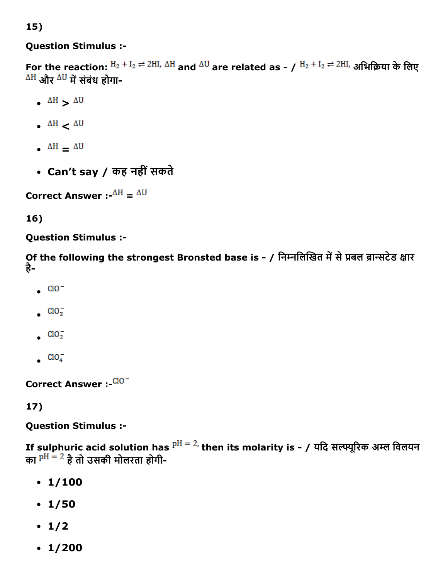### 15)

### Question Stimulus :

For the reaction:  $H_2 + I_2 \rightleftharpoons 2HI$ ,  $\Delta H$  and  $\Delta U$  are related as - /  $H_2 + I_2 \rightleftharpoons 2HI$ , अभिक्रिया के लिए  $\Delta H$  और  $\Delta U$  में संबंध होगा-

- $\Delta H$   $\Delta U$
- $\Delta H$   $\Delta U$
- $\Delta H = \Delta U$
- Can't say / कह नहींसकते

Correct Answer :- $^{\Delta H}$  =  $^{\Delta U}$ 

### 16)

### Question Stimulus :

Of the following the strongest Bronsted base is - / निम्नलिखित में से प्रबल ब्रान्सटेड क्षार है

- $CO<sup>-</sup>$
- $ClO<sub>3</sub>$
- $ClO<sub>2</sub>$
- $ClO<sub>4</sub>$

Correct Answer :- CIO-

### 17)

### Question Stimulus :

If sulphuric acid solution has  $P^{H} = 2$ , then its molarity is - / यदि सल्फ्यूरिक अम्ल विलयन का  $P^H = 2$  है तो उसकी मोलरता होगी-

- $\cdot$  1/100
- $\cdot$  1/50
- $\cdot$  1/2
- $\cdot$  1/200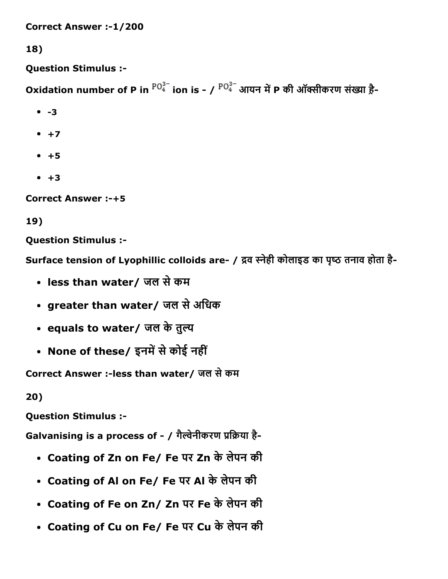Correct Answer :1/200

18)

Question Stimulus :

Oxidation number of P in  ${}^{PO_4^{3-}}$  ion is - /  ${}^{PO_4^{3-}}$  आयन में P की ऑक्सीकरण संख्या है-

- $-3$
- $+7$
- $+5$
- $+3$

Correct Answer :+5

19)

Question Stimulus :

Surface tension of Lyophillic colloids are- / द्रव स्नेही कोलाइड का पृष्ठ तनाव होता है-

- less than water/ जल सेकम
- greater than water/ जल सेअिधक
- equals to water/ जल के तुल्य
- None of these/ इनमें से कोई नहीं

Correct Answer :-less than water/ जल से कम

20)

Question Stimulus :

Galvanising is a process of - / गैल्वेनीकरण प्रक्रिया है-

- Coating of Zn on Fe/ Fe पर Zn के लेपन की
- Coating of Al on Fe/ Fe पर Al के लेपन की
- Coating of Fe on Zn/ Zn पर Fe के लेपन की
- Coating of Cu on Fe/ Fe पर Cu के लेपन की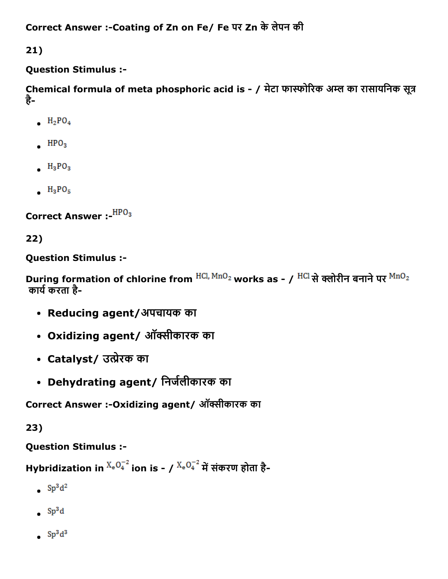```
Correct Answer :-Coating of Zn on Fe/ Fe पर Zn के लेपन की
```
21)

### Question Stimulus :

Chemical formula of meta phosphoric acid is - / मेटा फास्फोरिक अम्ल का रासायनिक सूत्र है

- $H_2PO_4$
- $HPO<sub>3</sub>$
- $H_3PO_3$
- $H_3PO_5$

Correct Answer :- HPO<sub>3</sub>

22)

Question Stimulus :

During formation of chlorine from  $^{HCl, MnO_2}$  works as - /  $^{HCl}$  से क्लोरीन बनाने पर  $^{MnO_2}$ कार्य करता है-

- Reducing agent/अपचायक का
- Oxidizing agent/ ऑक्सीकारक का
- Catalyst/ उत्प्रेरक का
- Dehydrating agent/ निर्जलीकारक का

Correct Answer :-Oxidizing agent/ ऑक्सीकारक का

23)

Question Stimulus :

Hybridization in  $^{X_eO_4^{-2}}$  ion is - /  $^{X_eO_4^{-2}}$  में संकरण होता है-

- $Sp^3d^2$
- $\bullet$  Sp<sup>3</sup>d
- $Sp<sup>3</sup>d<sup>3</sup>$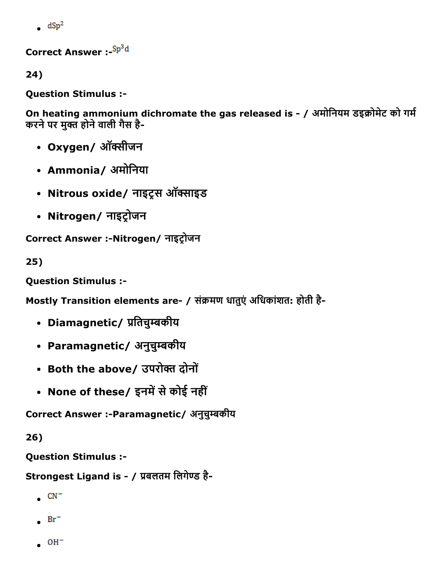$\frac{dSp^2}{dt}$ 

Correct Answer :- Sp<sup>3</sup>d

24)

Question Stimulus :

On heating ammonium dichromate the gas released is - / अमोनियम डइक्रोमेट को गर्म करने पर मुक्त होने वाली गैस है-

- Oxygen/ ऑक्सीजन
- Ammonia/ अमोनिया
- Nitrous oxide/ नाइट्रस ऑक्साइड
- Nitrogen/ नाइट्रोजन

Correct Answer :-Nitrogen/ नाइट्रोजन

25)

Question Stimulus :

Mostly Transition elements are- / संक्रमण धातुएं अधिकांशत: होती है-

- Diamagnetic/ प्रतिचुम्बकीय
- Paramagnetic/ अनुचुम्बकीय
- Both the above/ उपरोक्त दोनों
- None of these/ इनमें से कोई नहीं

Correct Answer :-Paramagnetic/ अनुचुम्बकीय

26)

Question Stimulus :

Strongest Ligand is - / प्रबलतम लिगेण्ड है-

- $\bullet$  CN<sup>-</sup>
- $Br^-$
- $\bullet$  OH<sup>-</sup>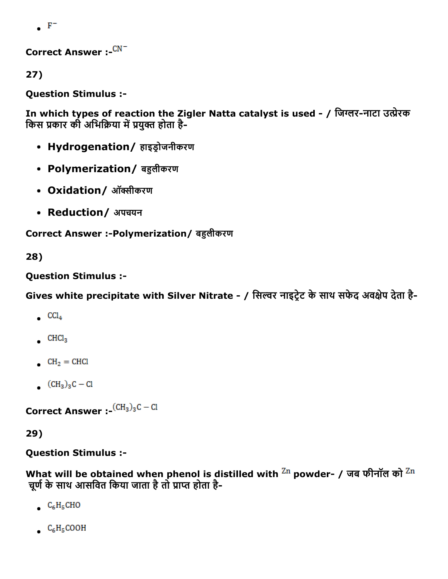$\bullet$  F<sup>-</sup>

Correct Answer :- CN<sup>-</sup>

27)

Question Stimulus :

In which types of reaction the Zigler Natta catalyst is used - / जिग्लर-नाटा उत्प्रेरक किस प्रकार की अभिक्रिया में प्रयुक्त होता है-

- Hydrogenation/ हाइड्रोजनीकरण
- Polymerization/ बहलीकरण
- Oxidation/ ऑक्सीकरण
- Reduction/ अपचयन

Correct Answer :-Polymerization/ बहुलीकरण

28)

Question Stimulus :

Gives white precipitate with Silver Nitrate - / सिल्वर नाइट्रेट के साथ सफेद अवक्षेप देता है-

- $CCl<sub>4</sub>$
- $CHCl<sub>3</sub>$
- $CH<sub>2</sub> = CHCl$
- $(CH_3)_3C Cl$

Correct Answer :- $\text{(CH}_3)_3\text{C}-\text{Cl}$ 

29)

Question Stimulus :

What will be obtained when phenol is distilled with  $\rm Zn$  powder- / जब फीनॉल को  $\rm Zn$ चूर्ण के साथ आसवित किया जाता है तो प्राप्त होता है-

- $C_6H_5CHO$
- $C_6H_5COOH$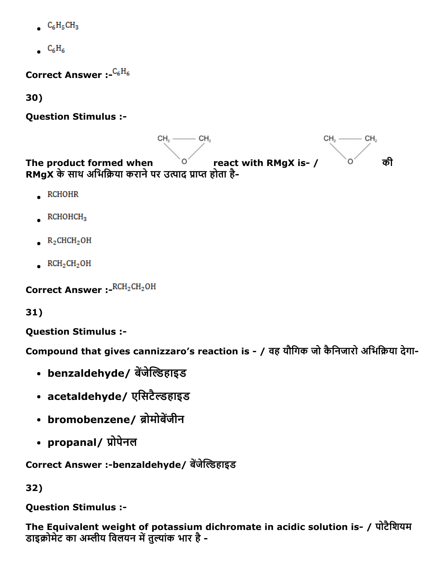- $C_6H_5CH_3$
- $C_6H_6$

Correct Answer :  $C_6H_6$ 

30)

Question Stimulus :



- $RCHOHR$
- $RCHOHCH<sub>3</sub>$
- $R_2$ CHCH<sub>2</sub>OH
- $RCH<sub>2</sub>CH<sub>2</sub>OH$

Correct Answer : RCH<sub>2</sub>CH<sub>2</sub>OH

31)

Question Stimulus :

Compound that gives cannizzaro's reaction is - / वह यौगिक जो कैनिजारो अभिक्रिया देगा-

- benzaldehyde/ बेंजेल्डिहाइड
- acetaldehyde/ एसिटैल्डहाइड
- bromobenzene/ ब्रोमोबेंजीन
- propanal/ प्रोपेनल

Correct Answer :-benzaldehyde/ बेंजेल्डिहाइड

32)

Question Stimulus :

The Equivalent weight of potassium dichromate in acidic solution is- / पोटैशियम डाइक्रोमेट का अम्लीय विलयन में तुल्यांक भार है -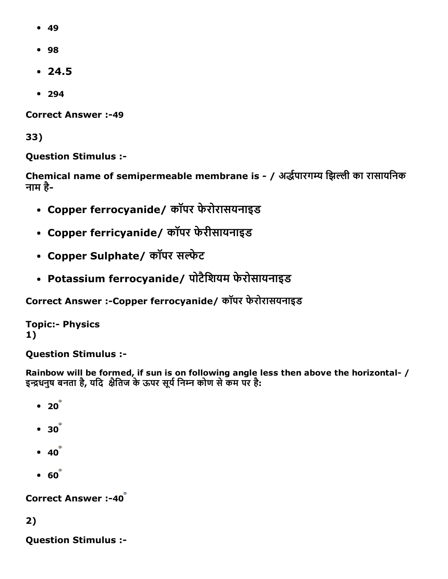- 49
- 98
- $24.5$
- 294

**Correct Answer :-49** 

33)

Question Stimulus :

Chemical name of semipermeable membrane is - / अर्द्धपारगम्य झिल्ली का रासायनिक नाम है

- Copper ferrocyanide/ कॉपर फेरोरासयनाइड
- Copper ferricyanide/ कॉपर फेरीसायनाइड
- Copper Sulphate/ कॉपर सल्फेट
- Potassium ferrocyanide/ पोटैिशयम फेरोसायनाइड

Correct Answer :-Copper ferrocyanide/ कॉपर फेरोरासयनाइड

**Topic:- Physics** 1)

Question Stimulus :

Rainbow will be formed, if sun is on following angle less then above the horizontal- / इन्द्रधनुष बनता है, यदि क्षैतिज के ऊपर सूर्य निम्न कोण से कम पर है:

- $\bullet$  20 $\degree$
- $30<sup>°</sup>$
- $40$
- $60$

**Correct Answer :-40** 

2)

Question Stimulus :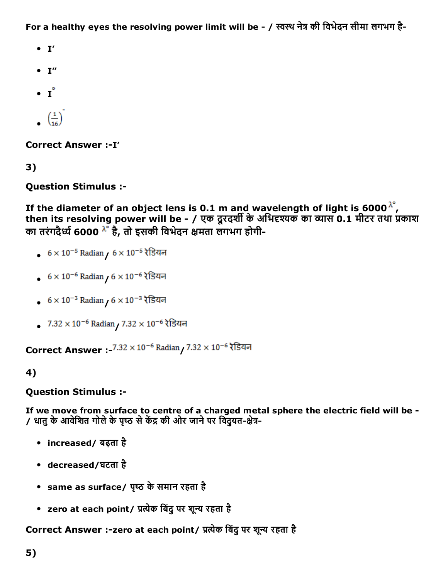For a healthy eyes the resolving power limit will be - / स्वस्थ नेत्र की विभेदन सीमा लगभग है-

- $\bullet$  I'
- $\bullet$  I"
- $\bullet$   $I^{\circ}$
- $\left(\frac{1}{16}\right)^{1}$

Correct Answer :- I'

3)

Question Stimulus :

If the diameter of an object lens is 0.1 m and wavelength of light is 6000  $^{\lambda^{\circ}}$ , then its resolving power will be - / एक दूरदर्शी के अभिदृश्यक का व्यास 0.1 मीटर तथा प्रकाश का तरंगदैर्ध्य 6000 ^ है, तो इसकी विभेदन क्षमता लगभग होगी-

- $6 \times 10^{-5}$  Radian  $/6 \times 10^{-5}$  रेडियन
- $6 \times 10^{-6}$  Radian  $/6 \times 10^{-6}$  रेडियन
- $6 \times 10^{-3}$  Radian  $/6 \times 10^{-3}$  रेडियन
- $7.32 \times 10^{-6}$  Radian  $/ 7.32 \times 10^{-6}$  रेडियन

**Correct Answer :-** $7.32 \times 10^{-6}$  Radian  $7.32 \times 10^{-6}$  रेडियन

#### 4)

Question Stimulus :

If we move from surface to centre of a charged metal sphere the electric field will be / धातु के आवेशित गोले के पृष्ठ से केंद्र की ओर जाने पर विदुयत-क्षेत्र-

- increased/ बढ़ता है
- decreased/घटता है
- same as surface/ पृष्ठ के समान रहता है
- zero at each point/ प्रत्येक बिंदु पर शून्य रहता है

Correct Answer :-zero at each point/ प्रत्येक बिंदु पर शून्य रहता है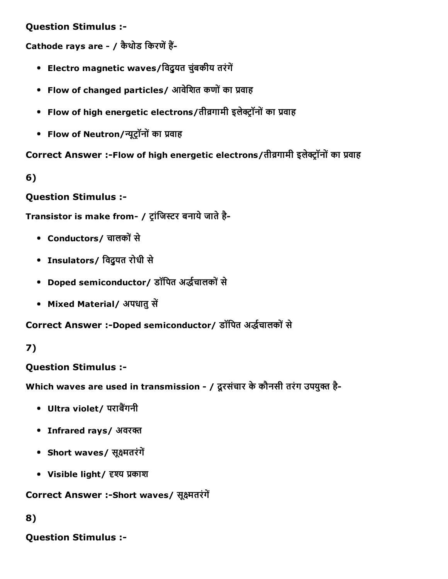Question Stimulus :

Cathode rays are - / कैथोड किरणें हैं-

- Electro magnetic waves/विद्युत चुंबकीय तरंगें
- Flow of changed particles/ आवेशित कणों का प्रवाह
- Flow of high energetic electrons/तीव्रगामी इलेक्ट्रॉनों का प्रवाह
- Flow of Neutron/न्यूट्रॉनों का प्रवाह

Correct Answer :-Flow of high energetic electrons/तीव्रगामी इलेक्ट्रॉनों का प्रवाह

6)

Question Stimulus :

Transistor is make from- / ट्रांजिस्टर बनाये जाते है-

- Conductors/ चालकोंसे
- Insulators/ िवद्ुयत रोधी से
- Doped semiconductor/ डॉपित अर्द्धचालकों से
- Mixed Material/ अपधातु सें

Correct Answer :-Doped semiconductor/ डॉपित अर्द्धचालकों से

#### 7)

#### Question Stimulus :

Which waves are used in transmission - / दूरसंचार के कौनसी तरंग उपयुक्त है-

- Ultra violet/ पराबैंगनी
- Infrared rays/ अवरक्त
- Short waves/ सूक्ष्मतरंगें
- Visible light/ दृश्य प्रकाश

Correct Answer :-Short waves/ सूक्ष्मतरंगें

#### 8)

Question Stimulus :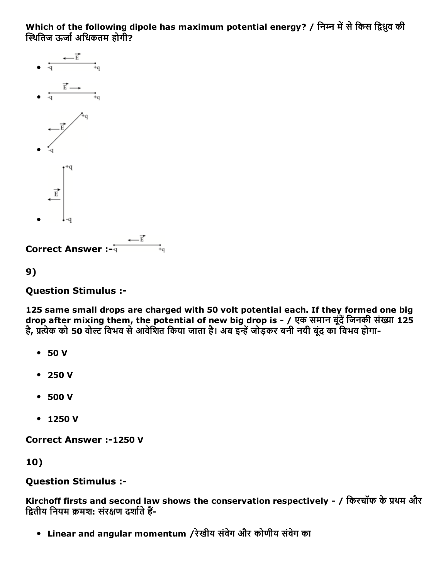Which of the following dipole has maximum potential energy? / निम्न में से किस द्विध्रुव की स्थितिज ऊर्जा अधिकतम होगी?



```
9)
```
Question Stimulus :

125 same small drops are charged with 50 volt potential each. If they formed one big drop after mixing them, the potential of new big drop is - / एक समान बूंदें जिनकी संख्या 125 है, प्रत्येक को 50 वोल्ट विभव से आवेशित किया जाता है। अब इन्हें जोड़कर बनी नयी बुंद का विभव होगा-

- 50 V
- 250 V
- 500 V
- 1250 V

Correct Answer :-1250 V

10)

#### Question Stimulus :

Kirchoff firsts and second law shows the conservation respectively - / किरचॉफ के प्रथम और द्वितीय नियम क्रमश: संरक्षण दर्शाते हैं-

Linear and angular momentum /रेखीय संवेग और कोणीय संवेग का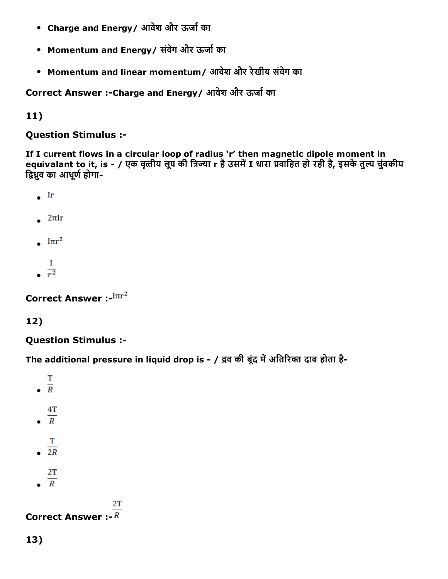- Charge and Energy/ आवेश और ऊर्जा का
- Momentum and Energy/ संवेग और ऊर्जा का
- Momentum and linear momentum/ आवेश और रेखीय संवेग का

Correct Answer :-Charge and Energy / आवेश और ऊर्जा का

11)

Question Stimulus :

If I current flows in a circular loop of radius 'r' then magnetic dipole moment in equivalant to it, is - / एक वृत्तीय लूप की त्रिज्या r है उसमें I धारा प्रवाहित हो रही है, इसके तुल्य चुंबकीय द्विध्रुव का आधुर्ण होगा-

- $\bullet$  Ir
- $\frac{2\pi I r}{\pi}$
- $\cdot$   $1\pi r^2$
- П  $\frac{1}{r^2}$

Correct Answer :- $\text{Im}r^2$ 

### 12)

Question Stimulus :

The additional pressure in liquid drop is - / द्रव की बूंद में अतिरिक्त दाब होता है-

- T  $\frac{1}{R}$
- 
- $4T$  $\overline{R}$
- 
- Т  $\frac{1}{2R}$
- 
- $2T$
- $\overline{R}$

#### 2T

### **Correct Answer :-**  $\overline{R}$

13)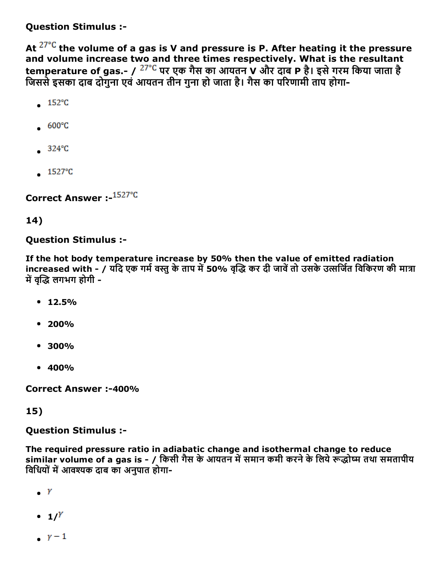Question Stimulus :

At  $27^{\circ}$ C the volume of a gas is V and pressure is P. After heating it the pressure and volume increase two and three times respectively. What is the resultant temperature of gas.- /  $27^{\circ}$ C पर एक गैस का आयतन V और दाब P है। इसे गरम किया जाता है जिससे इसका दाब दोगना एवं आयतन तीन गुना हो जाता है। गैस का परिणामी ताप होगा-

- $.152^{\circ}C$
- $600^{\circ}$ C
- $324^{\circ}C$
- $\overline{1527^{\circ}C}$

Correct Answer :- 1527°C

### 14)

#### Question Stimulus :

If the hot body temperature increase by 50% then the value of emitted radiation increased with - / यदि एक गर्म वस्तु के ताप में 50% वृद्धि कर दी जावें तो उसके उत्सर्जित विकिरण की मात्रा में वद्धि लगभग होगी -

- $12.5%$
- $200%$
- 300%
- 400%

Correct Answer :-400%

### 15)

#### Question Stimulus :

The required pressure ratio in adiabatic change and isothermal change to reduce similar volume of a gas is - / किसी गैस के आयतन में समान कमी करने के लिये रूद्धोष्म तथा समतापीय विधियों में आवश्यक दाब का अनुपात होगा-

- $\bullet$  Y
- $\bullet$  1/<sup>Y</sup>
- $\gamma$  1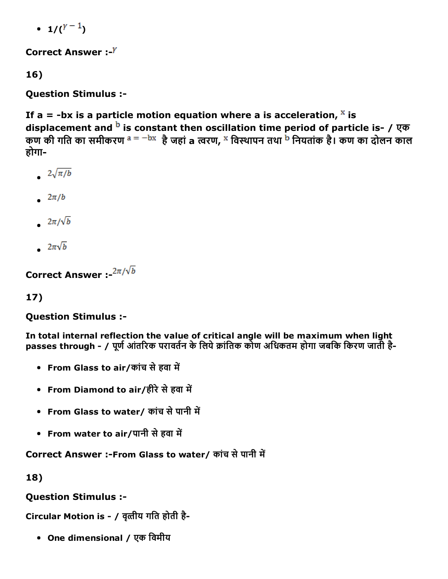•  $1/(Y-1)$ 

Correct Answer :- $Y$ 

16)

Question Stimulus :

If a = -bx is a particle motion equation where a is acceleration,  $\frac{x}{x}$  is displacement and  $^{\rm b}$  is constant then oscillation time period of particle is- / एक कण की गति का समीकरण <sup>a = —bx</sup> है जहां a त्वरण, <sup>x</sup> विस्थापन तथा <sup>b</sup> नियतांक है। कण का दोलन काल होगा

- $2\sqrt{\pi/b}$
- $\frac{2\pi}{b}$
- $2\pi/\sqrt{b}$
- $2\pi\sqrt{b}$

Correct Answer :- $2\pi/\sqrt{b}$ 

17)

Question Stimulus :

In total internal reflection the value of critical angle will be maximum when light passes through - / पूर्ण आंतरिक परावर्तन के लिये क्रांतिक कोण अधिकतम होगा जबकि किरण जाती है-

- From Glass to air/कांच से हवा में
- From Diamond to air/हीरे से हवा में
- From Glass to water/ कांच से पानी में
- From water to air/पानी से हवा में

Correct Answer :-From Glass to water/ कांच से पानी में

18)

Question Stimulus :

Circular Motion is - / वृत्तीय गति होती है-

One dimensional / एक िवमीय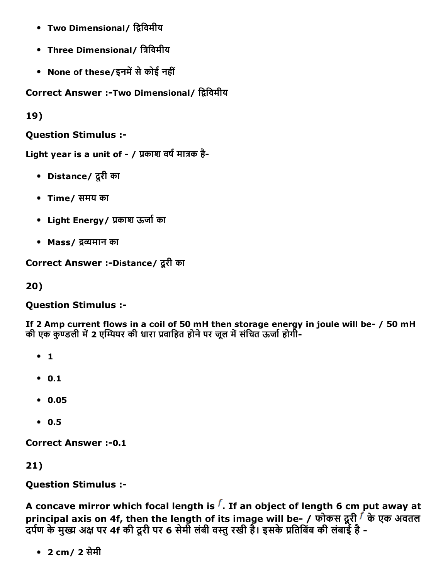- Two Dimensional/ द्विविमीय
- Three Dimensional/ त्रिविमीय
- None of these/इनमें से कोई नहीं

Correct Answer :-Two Dimensional/ द्विविमीय

19)

Question Stimulus :

Light year is a unit of  $-$  / प्रकाश वर्ष मात्रक है-

- Distance/ दूरी का
- Time/ समय का
- Light Energy / प्रकाश ऊर्जा का
- Mass/ द्रव्यमान का

Correct Answer :-Distance/ दूरी का

20)

Question Stimulus :

If 2 Amp current flows in a coil of 50 mH then storage energy in joule will be- / 50 mH की एक कुण्डली में 2 एम्पियर की धारा प्रवाहित होने पर जुल में संचित ऊर्जा होगी-

- $1$
- $0.1$
- 0.05
- $0.5$

**Correct Answer :- 0.1** 

21)

Question Stimulus :

A concave mirror which focal length is  $f$ . If an object of length 6 cm put away at principal axis on 4f, then the length of its image will be- / फोकस दूरी  $\vec{f}$  के एक अवतल दर्पण के मुख्य अक्ष पर 4f की दूरी पर 6 सेमी लंबी वस्तु रखी है। इसके प्रतिबिंब की लंबाई है -

2 cm/ 2 सेमी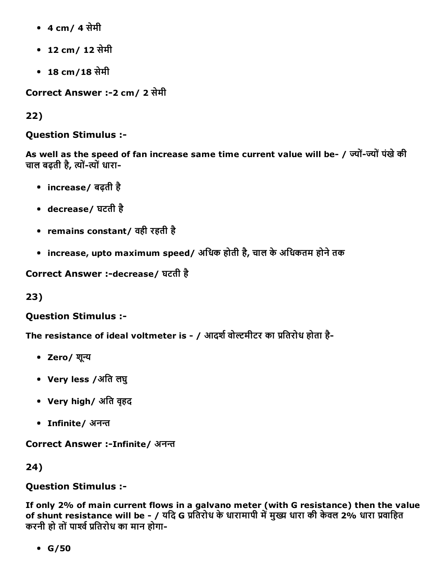- 4 cm/ 4 सेमी
- 12 cm/ 12 सेमी
- 18 cm/18 सेमी

Correct Answer :2 cm/ 2 सेमी

22)

Question Stimulus :

As well as the speed of fan increase same time current value will be- / ज्यों-ज्यों पंखे की चाल बढ़ती है, त्यों-त्यों धारा-

- increase/ बढ़ती है
- decrease/ घटती है
- remains constant/ वही रहती है
- increase, upto maximum speed/ अधिक होती है, चाल के अधिकतम होने तक

Correct Answer :-decrease/ घटती है

23)

Question Stimulus :

The resistance of ideal voltmeter is - / आदर्श वोल्टमीटर का प्रतिरोध होता है-

- Zero/ शून्य
- Very less /अित लघु
- Very high/ अति वृहद
- Infinite/ अनन्त

Correct Answer :-Infinite/ अनन्त

24)

#### Question Stimulus :

If only 2% of main current flows in a galvano meter (with G resistance) then the value of shunt resistance will be - / यदि G प्रतिरोध के धारामापी में मुख्य धारा की केवल 2% धारा प्रवाहित करनी हो तों पार्श्व प्रतिरोध का मान होगा-

 $\cdot$  G/50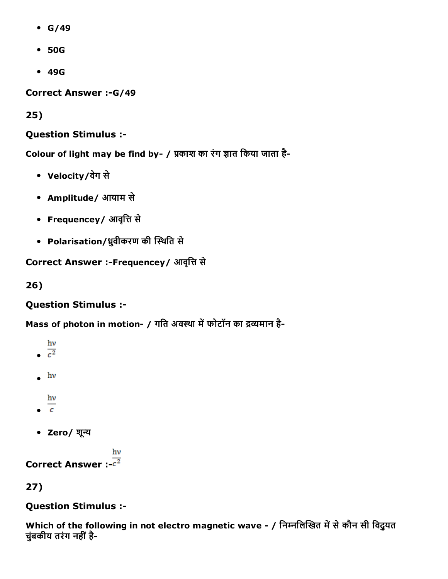- $\cdot$  G/49
- 50G
- 49G

Correct Answer :- G/49

25)

Question Stimulus :

Colour of light may be find by- / प्रकाश का रंग ज्ञात किया जाता है-

- Velocity/वेग से
- Amplitude/ आयाम से
- Frequencey/ आवृत्ति से
- Polarisation/ध्रुवीकरण की स्थिति से

Correct Answer :-Frequencey/ आवृत्ति से

26)

Question Stimulus :

Mass of photon in motion- / गति अवस्था में फोटॉन का द्रव्यमान है-

```
hv\frac{c^2}{c^2}\cdot hv
   hv
\frac{1}{c}Zero/ शپूय
```
 $h\nu$ Correct Answer :- $\overline{c^2}$ 

27)

#### Question Stimulus :

Which of the following in not electro magnetic wave - / निम्नलिखित में से कौन सी विदुयत चुंबकीय तरंग नहीं है-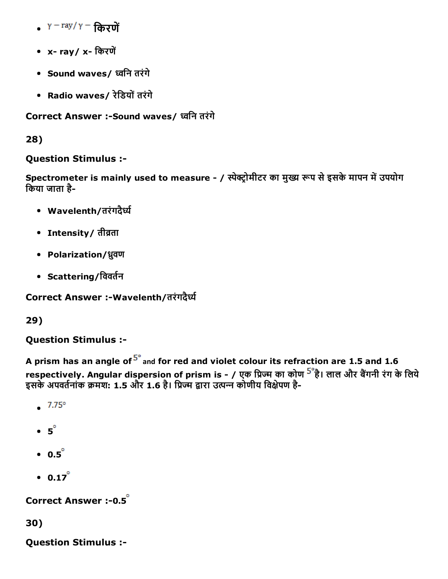- $Y = \frac{ray}{\gamma} \frac{G}{g}$ रणें
- x- ray/x- किरणें
- Sound waves/ پविन तरंगे
- Radio waves/ रेिडयोंतरंगे

Correct Answer :- Sound waves/ ध्वनि तरंगे

28)

### Question Stimulus :

Spectrometer is mainly used to measure - / स्पेक्ट्रोमीटर का मुख्य रूप से इसके मापन में उपयोग िकया जाता है

- Wavelenth/तरंगदैर्ध्य
- Intensity/ तीव्रता
- Polarization/ध्रुवण
- Scattering/विवर्तन

Correct Answer :-Wavelenth/तरंगदैर्ध्य

29)

Question Stimulus :

A prism has an angle of  $5^\circ$  and for red and violet colour its refraction are 1.5 and 1.6 respectively. Angular dispersion of prism is - / एक प्रिज्म का कोण <sup>5°</sup>है। लाल और बैंगनी रंग के लिये इसके अपवर्तनांक क्रमश: 1.5 और 1.6 है। प्रिज्म द्वारा उत्पन्न कोणीय विक्षेपण है-

- $-7.75^{\circ}$
- $-5^\circ$
- $\bullet$  0.5 $\degree$
- $0.17^{\circ}$

Correct Answer :- 0.5<sup>°</sup>

30)

Question Stimulus :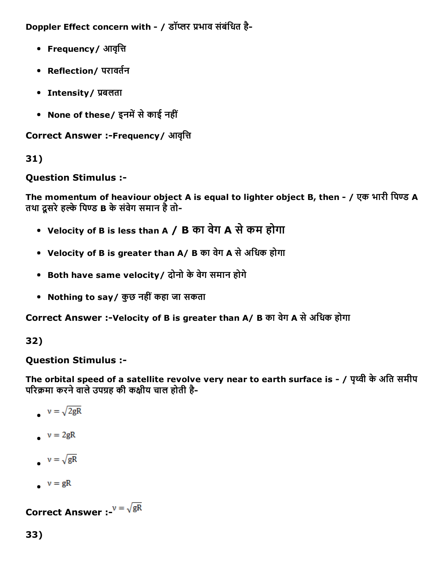Doppler Effect concern with - / डॉप्लर प्रभाव संबंधित है-

- Frequency/ आवृत्ति
- Reflection/ परावर्तन
- Intensity / प्रबलता
- None of these/ इनमें से काई नहीं

**Correct Answer :-Frequency/ आवृत्ति** 

### 31)

### Question Stimulus :

The momentum of heaviour object A is equal to lighter object B, then - / एक भारी पिण्ड A तथा दूसरे हल्के पिण्ड B के संवेग समान है तो-

- Velocity of B is less than A / B का वेग A सेकम होगा
- Velocity of B is greater than A/ B का वेग A सेअिधक होगा
- Both have same velocity/ दोनो केवेग समान होगे
- Nothing to say/ कुछ नहीं कहा जा सकता

Correct Answer :-Velocity of B is greater than A/ B का वेग A से अधिक होगा

# 32)

### Question Stimulus :

The orbital speed of a satellite revolve very near to earth surface is - / पृथ्वी के अति समीप परिक्रमा करने वाले उपग्रह की कक्षीय चाल होती है-

$$
\bullet \quad \nu = \sqrt{2gR}
$$

- $v = 2gR$
- $v = \sqrt{gR}$
- $v = gR$

**Correct Answer :-** $v = \sqrt{gR}$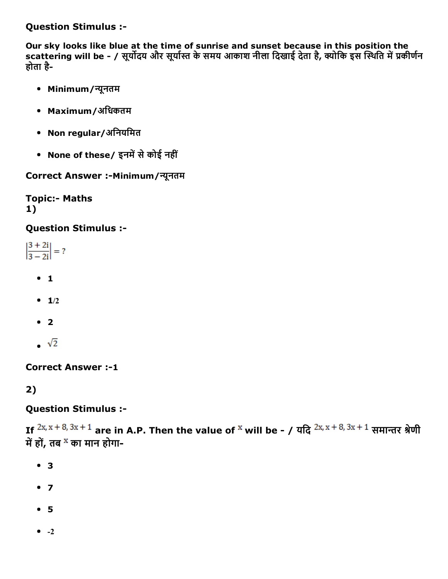Question Stimulus :

Our sky looks like blue at the time of sunrise and sunset because in this position the scattering will be - / सूर्योदय और सूर्यास्त के समय आकाश नीला दिखाई देता है, क्योकि इस स्थिति में प्रकीर्णन होता है

- Minimum/پयूनतम
- Maximum/अिधकतम
- Non regular/अिनयिमत
- None of these/ इनमें से कोई नहीं

Correct Answer :-Minimum/न्यूनतम

**Topic:- Maths** 1)

#### Question Stimulus :

 $\left|\frac{3+2i}{3-2i}\right|=?$ 

- $0<sub>1</sub>$
- $-1/2$
- $\bullet$  2
- $\sqrt{2}$

**Correct Answer :-1** 

2)

#### Question Stimulus :

If  $2x, x + 8, 3x + 1$  are in A.P. Then the value of <sup>x</sup> will be - / यदि  $2x, x + 8, 3x + 1$  समान्तर श्रेणी में हों, तब <sup>x</sup> का मान होगा-

- 3
- $7$
- 5
- $\bullet$  -2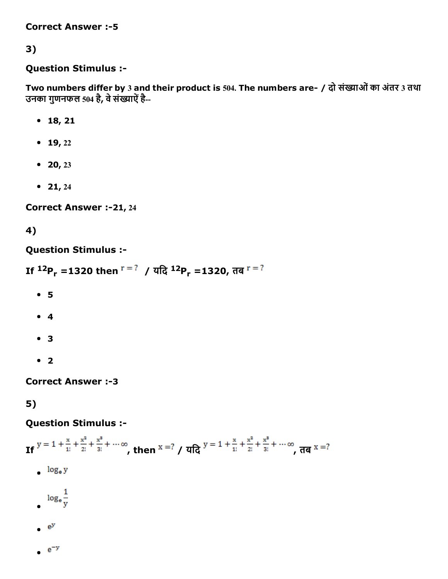**Correct Answer :- 5** 

### 3)

#### Question Stimulus :

Two numbers differ by 3 and their product is 504. The numbers are- / दो संख्याओं का अंतर 3 तथा उनका गुणनफल 504 है, वेसंȀयाऐंहै

- 18, 21
- $-19, 22$
- 20, 23
- $21, 24$

Correct Answer :-21, 24

### 4)

#### Question Stimulus :

```
If ^{12}P_r =1320 then ^{r = ?} / यदि ^{12}P_r =1320, तब
```
- 5
- 4
- 3
- $2$

**Correct Answer :-3** 

5)

#### Question Stimulus :

If 
$$
y = 1 + \frac{x}{1!} + \frac{x^2}{2!} + \frac{x^3}{3!} + \cdots \infty
$$
, then  $x = ?$  /  $\sqrt{4}x^3 + \frac{x^2}{1!} + \frac{x^3}{2!} + \frac{x^3}{3!} + \cdots \infty$ ,  $\frac{1}{\sqrt{4}} \log_e y$   
\n $\log_e \frac{1}{y}$   
\n $e^y$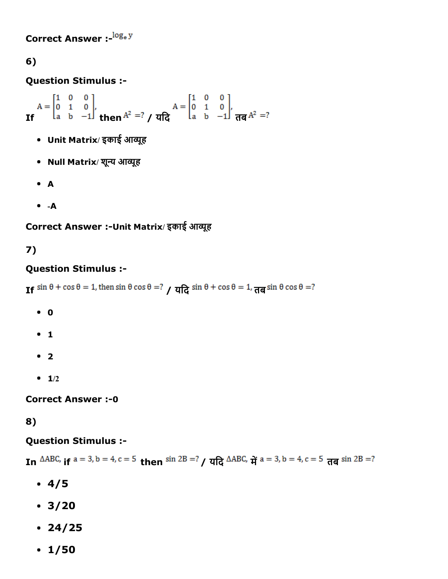Correct Answer :-  $log_e y$ 

### 6)

Question Stimulus :

 $A = \begin{bmatrix} 1 & 0 & 0 \\ 0 & 1 & 0 \\ a & b & -1 \end{bmatrix}$ ,  $A = \begin{bmatrix} 1 & 0 & 0 \\ 0 & 1 & 0 \\ a & b & -1 \end{bmatrix}$ ,  $A = \begin{bmatrix} 1 & 0 & 0 \\ 0 & 1 & 0 \\ a & b & -1 \end{bmatrix}$ ,  $A = \begin{bmatrix} 1 & 0 & 0 \\ 0 & 1 & 0 \\ 0 & -1 & 0 \end{bmatrix}$ ,

- Unit Matrix/ इकाई आव्यूह
- Null Matrix/ शून्य आव्यूह
- A
- $A -$

Correct Answer :-Unit Matrix/ इकाई आव्यूह

# 7)

### Question Stimulus :

If  $\sin \theta + \cos \theta = 1$ , then  $\sin \theta \cos \theta = ?$   $\theta \sin \theta + \cos \theta = 1$ ,  $\frac{\pi}{9} \sin \theta \cos \theta = ?$ 

- 0
- $1$
- $2$
- $-1/2$

**Correct Answer :- 0** 

#### 8)

#### Question Stimulus :

In  $\triangle$ ABC, if  $a = 3$ ,  $b = 4$ ,  $c = 5$  then  $\sin 2B = ?$   $\angle$   $\frac{\pi}{6}$   $\triangle$ ABC,  $\frac{\pi}{16}$   $a = 3$ ,  $b = 4$ ,  $c = 5$   $\frac{\pi}{6}$   $\sin 2B = ?$ 

- $4/5$
- $3/20$
- $24/25$
- $\cdot$  1/50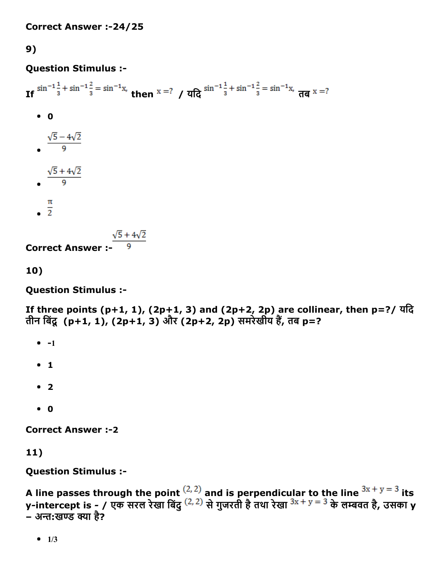9)

### Question Stimulus :

If  $\sin^{-1}\frac{1}{3} + \sin^{-1}\frac{2}{3} = \sin^{-1}x$ , then  $x = ?$  /  $\frac{\pi}{6} \sin^{-1}\frac{1}{3} + \sin^{-1}\frac{2}{3} = \sin^{-1}x$ ,  $\frac{\pi}{6} \pi x = ?$  $\bullet$  0  $\frac{\sqrt{5}-4\sqrt{2}}{9}$  $\frac{\sqrt{5} + 4\sqrt{2}}{9}$  $\frac{\pi}{2}$ 

**Correct Answer :-**  $\frac{\sqrt{5} + 4\sqrt{2}}{9}$ 

10)

Question Stimulus :

If three points  $(p+1, 1)$ ,  $(2p+1, 3)$  and  $(2p+2, 2p)$  are collinear, then  $p=$ ?/ यदि तीन बिंदू (p+1, 1), (2p+1, 3) और (2p+2, 2p) समरेखीय हैं, तब p=?

- $-1$
- $1$
- $2$
- $\bullet$  0

**Correct Answer :-2** 

11)

Question Stimulus :

```
A line passes through the point \frac{1}{2} and is perpendicular to the line \frac{3x+y=3}{x} its
y-intercept is - / एक सरल रेखा बिंदु <sup>(2, 2)</sup> से गुजरती है तथा रेखा <sup>эх + y = 5</sup> के लम्बवत है, उसका y
.<br>– अन्त:खण्ड क्या है?
```
 $-1/3$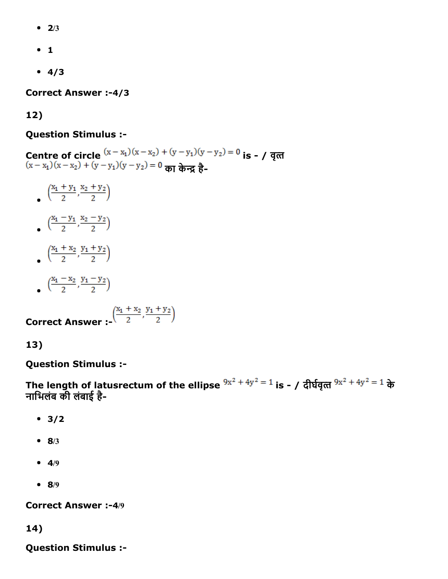- $\bullet$  2/3
- $-1$
- $4/3$

Correct Answer :-4/3

#### 12)

#### Question Stimulus :

Centre of circle  $(x - x_1)(x - x_2) + (y - y_1)(y - y_2) = 0$  is - / वृत्त  $(x-x_1)(x-x_2) + (y-y_1)(y-y_2) = 0$  का केन्द्र है-

- $\left(\frac{x_1+y_1}{2}, \frac{x_2+y_2}{2}\right)$
- $\left(\frac{x_1-y_1}{2}, \frac{x_2-y_2}{2}\right)$
- $\left(\frac{x_1 + x_2}{2}, \frac{y_1 + y_2}{2}\right)$
- $\left(\frac{x_1-x_2}{2}, \frac{y_1-y_2}{2}\right)$

**Correct Answer** :- $\left(\frac{x_1 + x_2}{2}, \frac{y_1 + y_2}{2}\right)$ 

13)

Question Stimulus :

The length of latusrectum of the ellipse  $9x^2 + 4y^2 = 1$  is - / दीर्घवृत्त  $9x^2 + 4y^2 = 1$  के नािभलंब की लंबाई है

- $3/2$
- $8/3$
- $-4/9$
- $8/9$

Correct Answer :-4/9

14)

Question Stimulus :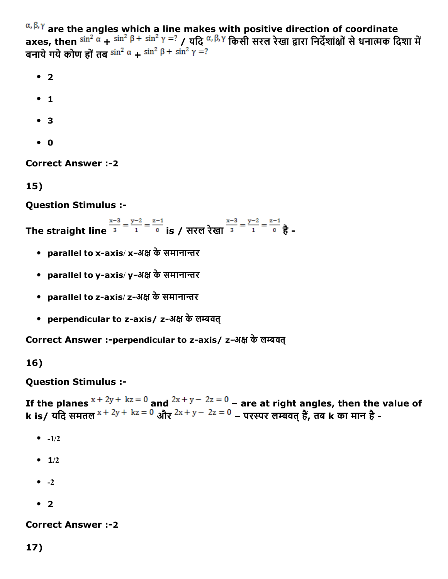$\alpha, \beta, \gamma$  are the angles which a line makes with positive direction of coordinate axes, then  $\sin^2\alpha + \sin^2\beta + \sin^2\gamma = ?$  / यदि  $\alpha, \beta, \gamma$  किसी सरल रेखा द्वारा निर्देशांक्षों से धनात्मक दिशा में बनाये गये कोण हों तब  $\sin^2 \alpha + \sin^2 \beta + \sin^2 \gamma = ?$ 

- $2$
- $1$
- 3
- $\bullet$  0

**Correct Answer :-2** 

15)

Question Stimulus :

The straight line  $\frac{x-3}{3} = \frac{y-2}{1} = \frac{z-1}{0}$  is / सरल रेखा  $\frac{x-3}{3} = \frac{y-2}{1} = \frac{z-1}{0}$   $\frac{3}{5}$ .

- parallel to x-axis/ x-अक्ष के समानान्तर
- parallel to y-axis/y-अक्ष के समानान्तर
- parallel to z-axis/ z-अक्ष के समानान्तर
- perpendicular to z-axis/ z-अक्ष के लम्बवत

Correct Answer :-perpendicular to z-axis/ z-अक्ष के लम्बवत्

16)

Question Stimulus :

If the planes  $x + 2y + kz = 0$  and  $2x + y - 2z = 0$  – are at right angles, then the value of k is/ यदि समतल \* <sup>+ zy +</sup> \* <sup>z = 0</sup> और <sup>zx + y – <sup>zz = 0</sup> – परस्पर लम्बवत् हैं, तब k का मान है -</sup>

- $-1/2$
- $-1/2$
- $\bullet$   $-2$
- $2$

**Correct Answer :-2** 

17)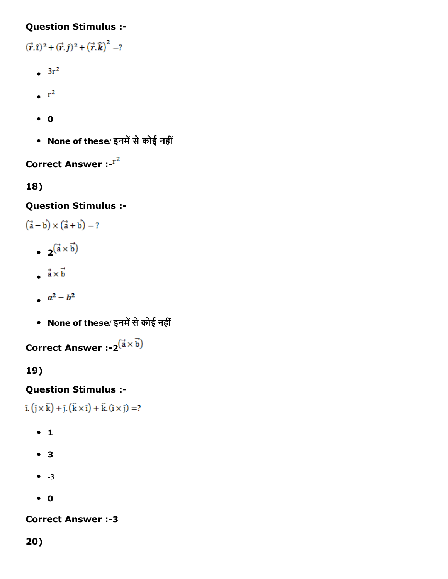### Question Stimulus :

 $(\vec{r}, \hat{i})^2 + (\vec{r}, \hat{j})^2 + (\vec{r}, \hat{k})^2 = ?$ 

- $3r^2$
- $\cdot$  r<sup>2</sup>
- $\bullet$  0
- None of these/ इनमें से कोई नहीं

# Correct Answer :

18)

### Question Stimulus :

 $(\vec{a}-\vec{b})\times(\vec{a}+\vec{b})=?$ 

- $\bullet$  2( $\vec{a} \times \vec{b}$ )
- $\vec{a} \times \vec{b}$
- $a^2-b^2$
- None of these/ इनमें से कोई नहीं

Correct Answer :- $2^{\vec{a} \times \vec{b}}$ 

# 19)

### Question Stimulus :

 $\hat{\mathbf{i}} \cdot (\hat{\mathbf{j}} \times \hat{\mathbf{k}}) + \hat{\mathbf{j}} \cdot (\hat{\mathbf{k}} \times \hat{\mathbf{i}}) + \hat{\mathbf{k}} \cdot (\hat{\mathbf{i}} \times \hat{\mathbf{j}}) = ?$ 

- $\bullet$  1
- 3
- $\bullet$  -3
- 0

#### **Correct Answer :-3**

20)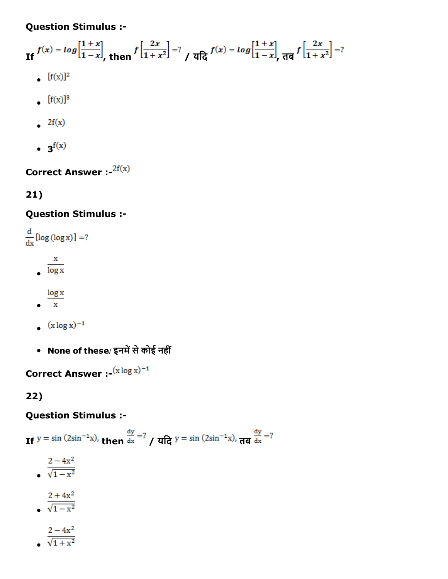Question Stimulus :

If  $f(x) = log\left[\frac{1+x}{1-x}\right]$ , then  $f\left[\frac{2x}{1+x^2}\right] = ?$   $\int$   $q\left[\frac{2}{1-x}\right] = log\left[\frac{1+x}{1-x}\right]$ ,  $\frac{1}{\sqrt{q}} \int \left[\frac{2x}{1+x^2}\right] = ?$ 

- $\int [f(x)]^2$
- $\int [f(x)]^3$
- $2f(x)$
- $\mathbf{f}(\mathbf{x})$

Correct Answer :-  $2f(x)$ 

# 21)

# Question Stimulus :

 $\frac{d}{dx}$ [log (log x)] =?  $rac{x}{\log x}$  $\frac{\log x}{x}$ 

- $(x \log x)^{-1}$
- None of these/ इनमें से कोई नहीं

Correct Answer :  $(x \log x)^{-1}$ 

22)

### Question Stimulus :

If  $y = \sin (2\sin^{-1}x)$ , then  $\frac{dy}{dx} = ?$  / यदि  $y = \sin (2\sin^{-1}x)$ , तब  $\frac{dy}{dx} = ?$ 

 $rac{2-4x^2}{\sqrt{1-x^2}}$  $\frac{2+4x^2}{\sqrt{1-x^2}}$ 

$$
\frac{2-4x^2}{\sqrt{1+x^2}}
$$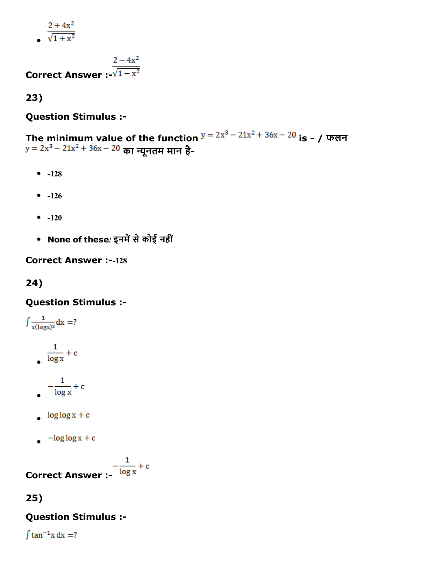$2 + 4x^2$  $\sqrt{1+x^2}$ 

$$
\frac{2-4x^2}{\sqrt{1-x^2}}
$$

Correct Answer  $\sqrt{1-x^2}$ 

23)

#### Question Stimulus :

The minimum value of the function  $y = zx^{2} - 21x^{2} + 30x - 20$  is - / फलन का پयूनतम मान है

- $-128$
- $-126$
- $-120$
- None of these/ इनमें से कोई नहीं

**Correct Answer :--128** 

24)

#### Question Stimulus :

$$
\int \frac{1}{x(\log x)^2} dx = ?
$$
\n
$$
\frac{1}{\log x} + c
$$
\n
$$
-\frac{1}{\log x} + c
$$

- $log log x + c$
- $-\log\log x + c$

**Correct Answer :-**  $\frac{1}{\log x} + c$ 

#### 25)

### Question Stimulus :

 $\int \tan^{-1} x dx = ?$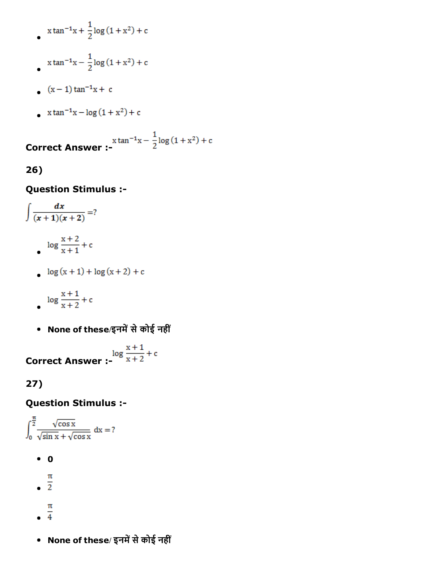$$
x \tan^{-1} x + \frac{1}{2} \log(1 + x^2) + c
$$

$$
\int_0^{\frac{\pi}{4}} \tan^{-1} x - \frac{1}{2} \log(1 + x^2) + c
$$

- $(x-1) \tan^{-1} x + c$
- x tan<sup>-1</sup>x  $\log(1 + x^2)$  + c

 $x \tan^{-1} x - \frac{1}{2} \log(1 + x^2) + c$  Correct Answer :-

### 26)

#### Question Stimulus :

$$
\int \frac{dx}{(x+1)(x+2)} = ?
$$
  
\n
$$
\log \frac{x+2}{x+1} + c
$$
  
\n
$$
\log (x+1) + \log (x+2) + c
$$

$$
\log \frac{x+1}{x+2} + c
$$

• None of these/इनमें से कोई नहीं

 $\log \frac{x+1}{x+2} + c$  Correct Answer :-

### 27)

#### Question Stimulus :

 $\int_0^{\frac{\pi}{2}} \frac{\sqrt{\cos x}}{\sqrt{\sin x} + \sqrt{\cos x}} dx = ?$ 

- $\bullet$  0
- 
- $\frac{\pi}{2}$
- 
- $\frac{\pi}{4}$
- None of these/ इनमें से कोई नहीं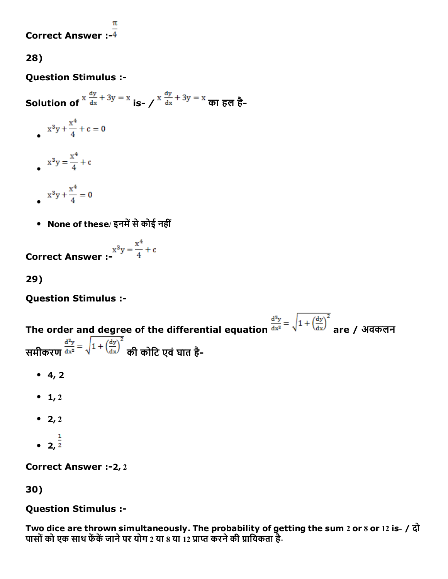### Correct Answer :  $\frac{1}{4}$

28)

#### Question Stimulus :

Solution of  $x \frac{dy}{dx} + 3y = x$  is-  $\frac{dy}{dx} + 3y = x$   $\frac{dy}{dx}$   $\frac{1}{6}$ 

- $x^3y + \frac{x^4}{4} + c = 0$  $x^3y = \frac{x^4}{4} + c$  $x^3y + \frac{x^4}{4} = 0$
- None of these/ इनमें से कोई नहीं

**Correct Answer :-**  $x^3y = \frac{x^4}{4} + c$ 

29)

Question Stimulus :

The order and degree of the differential equation  $\frac{d^2y}{dx^2} = \sqrt{1 + \left(\frac{dy}{dx}\right)^2}$  are / अवकलन समीकरण  $\frac{d^2y}{dx^2} = \sqrt{1 + \left(\frac{dy}{dx}\right)^2}$  की कोटि एवं घात है-

- $-4, 2$
- $-1, 2$
- 2, 2
- $2, \frac{1}{2}$

Correct Answer :- 2, 2

30)

#### Question Stimulus :

Two dice are thrown simultaneously. The probability of getting the sum 2 or 8 or 12 is- / दो पासों को एक साथ फेंकें जाने पर योग 2 या 8 या 12 प्राप्त करने की प्रायिकता है-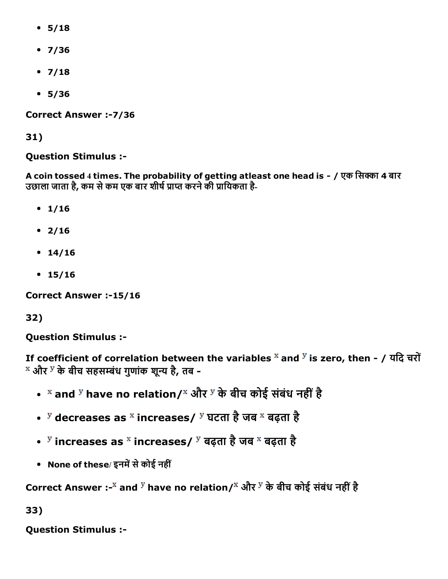- $5/18$
- $7/36$
- $7/18$
- $5/36$

Correct Answer :- 7/36

31)

### Question Stimulus :

A coin tossed 4 times. The probability of getting atleast one head is - / एक सिक्का 4 बार उछाला जाता है, कम से कम एक बार शीर्ष प्राप्त करने की प्रायिकता है-

- $1/16$
- $2/16$
- $14/16$
- $15/16$

Correct Answer :-15/16

# 32)

Question Stimulus :

If coefficient of correlation between the variables  $\overline{x}$  and  $\overline{y}$  is zero, then - / यदि चरों और <sup>у</sup> के बीच सहसम्बंध गुणांक शून्य है, तब -

- <sup>×</sup> and <sup>y</sup> have no relation/<sup>×</sup> और <sup>y</sup> के बीच कोई संबंध नहीं है
- <sup>y</sup> decreases as <sup>x</sup> increases/ <sup>y</sup> घटता है जब <sup>x</sup> बढ़ता है
- $\frac{y}{s}$  increases as  $\frac{x}{s}$  increases/  $\frac{y}{s}$  बढ़ता है जब  $\frac{x}{s}$  बढ़ता है
- None of these/ इनमें से कोई नहीं

Correct Answer :-<sup>x</sup> and <sup>y</sup> have no relation/<sup>x</sup> और <sup>y</sup> के बीच कोई संबंध नहीं है

33)

Question Stimulus :